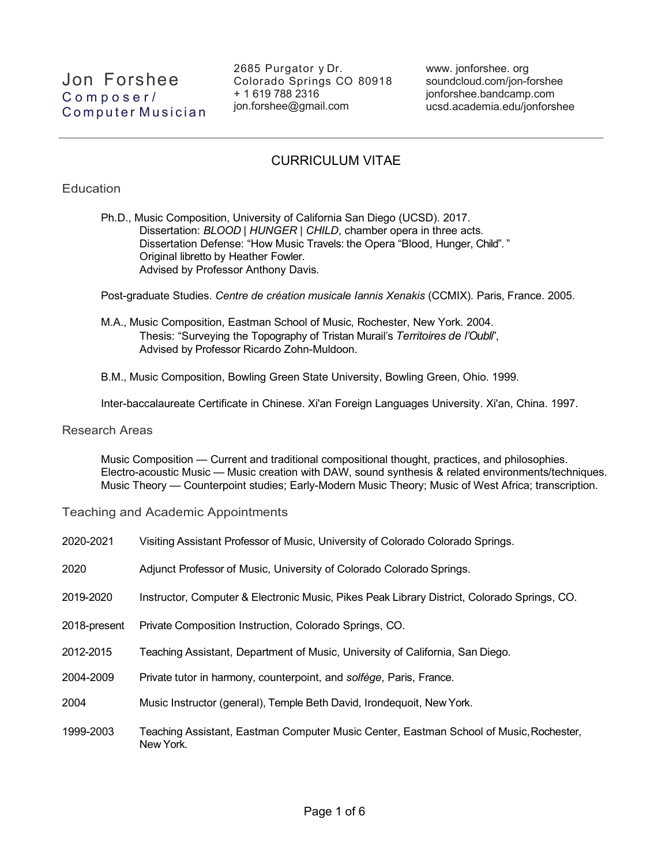2685 Purgator y Dr. Colorado Springs CO 80918 + 1 619 788 2316 jon.forshee@gmail.com

www. jonforshee. org soundcloud.com/jon-forshee jonforshee.bandcamp.com ucsd.academia.edu/jonforshee

# CURRICULUM VITAE

## **Education**

Ph.D., Music Composition, University of California San Diego (UCSD). 2017. Dissertation: *BLOOD | HUNGER | CHILD*, chamber opera in three acts. Dissertation Defense: "How Music Travels: the Opera "Blood, Hunger, Child". " Original libretto by Heather Fowler. Advised by Professor Anthony Davis.

Post-graduate Studies. *Centre de création musicale Iannis Xenakis* (CCMIX). Paris, France. 2005.

M.A., Music Composition, Eastman School of Music, Rochester, New York. 2004. Thesis: "Surveying the Topography of Tristan Murail's *Territoires de l'Oubli*", Advised by Professor Ricardo Zohn-Muldoon.

B.M., Music Composition, Bowling Green State University, Bowling Green, Ohio. 1999.

Inter-baccalaureate Certificate in Chinese. Xi'an Foreign Languages University. Xi'an, China. 1997.

#### Research Areas

Music Composition — Current and traditional compositional thought, practices, and philosophies. Electro-acoustic Music — Music creation with DAW, sound synthesis & related environments/techniques. Music Theory — Counterpoint studies; Early-Modern Music Theory; Music of West Africa; transcription.

Teaching and Academic Appointments

| 2020-2021    | Visiting Assistant Professor of Music, University of Colorado Colorado Springs.                     |
|--------------|-----------------------------------------------------------------------------------------------------|
| 2020         | Adjunct Professor of Music, University of Colorado Colorado Springs.                                |
| 2019-2020    | Instructor, Computer & Electronic Music, Pikes Peak Library District, Colorado Springs, CO.         |
| 2018-present | Private Composition Instruction, Colorado Springs, CO.                                              |
| 2012-2015    | Teaching Assistant, Department of Music, University of California, San Diego.                       |
| 2004-2009    | Private tutor in harmony, counterpoint, and solfège, Paris, France.                                 |
| 2004         | Music Instructor (general), Temple Beth David, Irondequoit, New York.                               |
| 1999-2003    | Teaching Assistant, Eastman Computer Music Center, Eastman School of Music, Rochester,<br>New York. |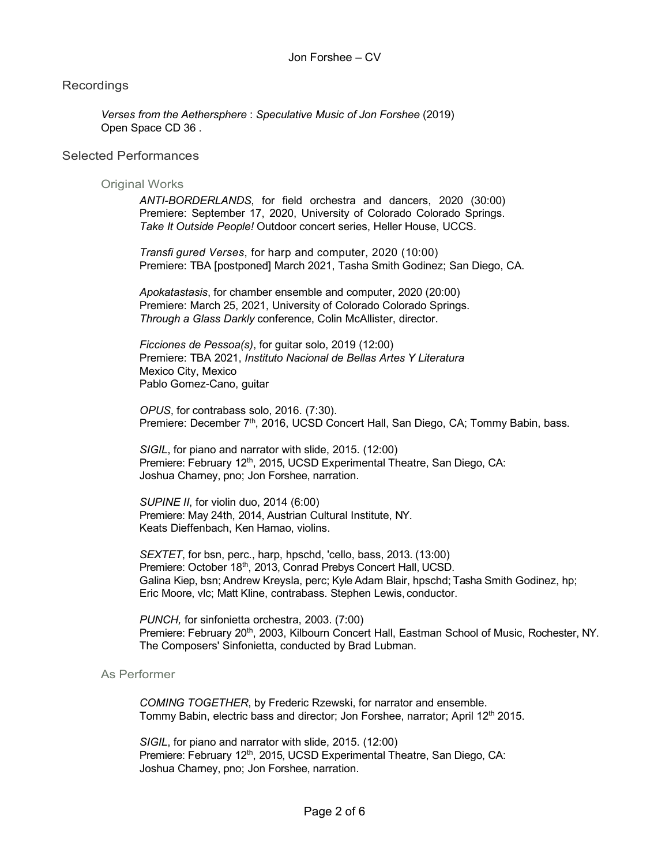## Recordings

*Verses from the Aethersphere* : *Speculative Music of Jon Forshee* (2019) Open Space CD 36 .

#### Selected Performances

#### Original Works

*ANTI-BORDERLANDS*, for field orchestra and dancers, 2020 (30:00) Premiere: September 17, 2020, University of Colorado Colorado Springs. *Take It Outside People!* Outdoor concert series, Heller House, UCCS.

*Transfi gured Verses*, for harp and computer, 2020 (10:00) Premiere: TBA [postponed] March 2021, Tasha Smith Godinez; San Diego, CA.

*Apokatastasis*, for chamber ensemble and computer, 2020 (20:00) Premiere: March 25, 2021, University of Colorado Colorado Springs. *Through a Glass Darkly* conference, Colin McAllister, director.

*Ficciones de Pessoa(s)*, for guitar solo, 2019 (12:00) Premiere: TBA 2021, *Instituto Nacional de Bellas Artes Y Literatura* Mexico City, Mexico Pablo Gomez-Cano, guitar

*OPUS*, for contrabass solo, 2016. (7:30). Premiere: December 7<sup>th</sup>, 2016, UCSD Concert Hall, San Diego, CA; Tommy Babin, bass.

*SIGIL*, for piano and narrator with slide, 2015. (12:00) Premiere: February 12<sup>th</sup>, 2015, UCSD Experimental Theatre, San Diego, CA: Joshua Charney, pno; Jon Forshee, narration.

*SUPINE II*, for violin duo, 2014 (6:00) Premiere: May 24th, 2014, Austrian Cultural Institute, NY. Keats Dieffenbach, Ken Hamao, violins.

*SEXTET*, for bsn, perc., harp, hpschd, 'cello, bass, 2013. (13:00) Premiere: October 18<sup>th</sup>, 2013, Conrad Prebys Concert Hall, UCSD. Galina Kiep, bsn; Andrew Kreysla, perc; Kyle Adam Blair, hpschd; Tasha Smith Godinez, hp; Eric Moore, vlc; Matt Kline, contrabass. Stephen Lewis, conductor.

*PUNCH,* for sinfonietta orchestra, 2003. (7:00) Premiere: February 20<sup>th</sup>, 2003, Kilbourn Concert Hall, Eastman School of Music, Rochester, NY. The Composers' Sinfonietta, conducted by Brad Lubman.

## As Performer

*COMING TOGETHER*, by Frederic Rzewski, for narrator and ensemble. Tommy Babin, electric bass and director; Jon Forshee, narrator; April 12<sup>th</sup> 2015.

*SIGIL*, for piano and narrator with slide, 2015. (12:00) Premiere: February 12<sup>th</sup>, 2015, UCSD Experimental Theatre, San Diego, CA: Joshua Charney, pno; Jon Forshee, narration.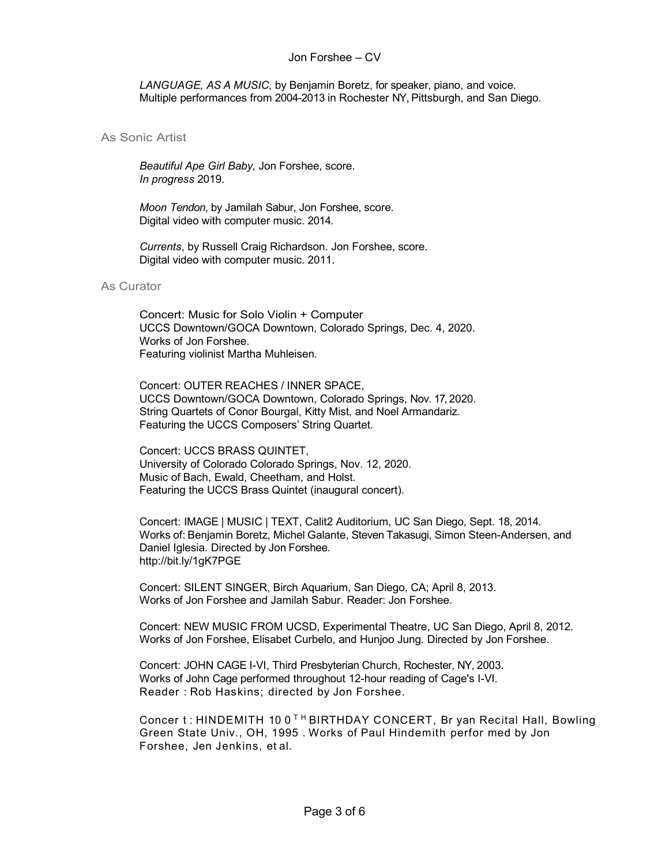*LANGUAGE, AS A MUSIC*, by Benjamin Boretz, for speaker, piano, and voice. Multiple performances from 2004-2013 in Rochester NY, Pittsburgh, and San Diego.

## As Sonic Artist

*Beautiful Ape Girl Baby*, Jon Forshee, score. *In progress* 2019.

*Moon Tendon*, by Jamilah Sabur, Jon Forshee, score. Digital video with computer music. 2014.

*Currents*, by Russell Craig Richardson. Jon Forshee, score. Digital video with computer music. 2011.

#### As Curator

Concert: Music for Solo Violin + Computer UCCS Downtown/GOCA Downtown, Colorado Springs, Dec. 4, 2020. Works of Jon Forshee. Featuring violinist Martha Muhleisen.

Concert: OUTER REACHES / INNER SPACE, UCCS Downtown/GOCA Downtown, Colorado Springs, Nov. 17, 2020. String Quartets of Conor Bourgal, Kitty Mist, and Noel Armandariz. Featuring the UCCS Composers' String Quartet.

Concert: UCCS BRASS QUINTET, University of Colorado Colorado Springs, Nov. 12, 2020. Music of Bach, Ewald, Cheetham, and Holst. Featuring the UCCS Brass Quintet (inaugural concert).

Concert: IMAGE | MUSIC | TEXT, Calit2 Auditorium, UC San Diego, Sept. 18, 2014. Works of: Benjamin Boretz, Michel Galante, Steven Takasugi, Simon Steen-Andersen, and Daniel Iglesia. Directed by Jon Forshee. http://bit.ly/1gK7PGE

Concert: SILENT SINGER, Birch Aquarium, San Diego, CA; April 8, 2013. Works of Jon Forshee and Jamilah Sabur. Reader: Jon Forshee.

Concert: NEW MUSIC FROM UCSD, Experimental Theatre, UC San Diego, April 8, 2012. Works of Jon Forshee, Elisabet Curbelo, and Hunjoo Jung. Directed by Jon Forshee.

Concert: JOHN CAGE I-VI, Third Presbyterian Church, Rochester, NY, 2003. Works of John Cage performed throughout 12-hour reading of Cage's I-VI. Reader : Rob Haskins; directed by Jon Forshee.

Concer t: HINDEMITH 10 0<sup>TH</sup> BIRTHDAY CONCERT, Br yan Recital Hall, Bowling Green State Univ., OH, 1995 . Works of Paul Hindemith perfor med by Jon Forshee, Jen Jenkins, et al.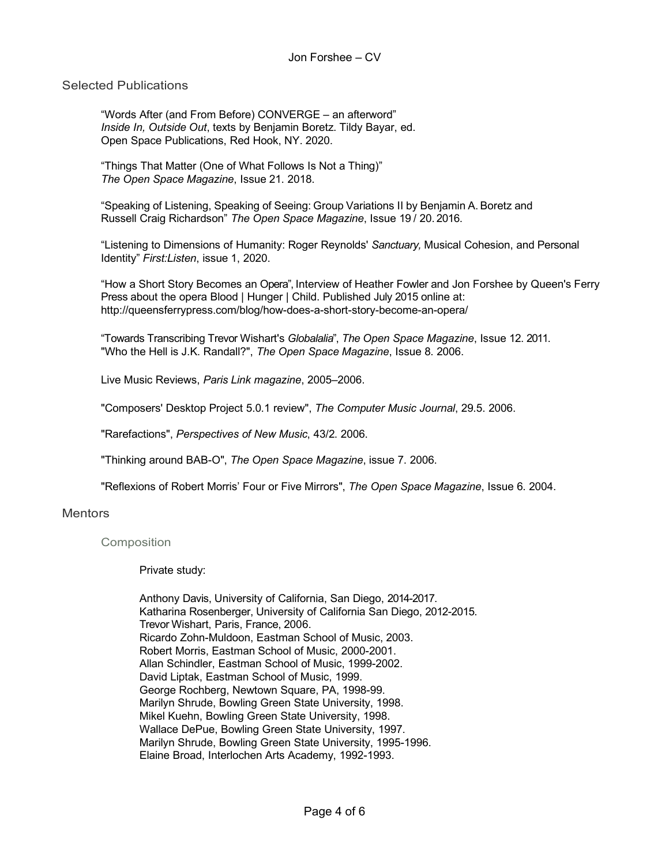## Selected Publications

"Words After (and From Before) CONVERGE – an afterword" *Inside In, Outside Out*, texts by Benjamin Boretz. Tildy Bayar, ed. Open Space Publications, Red Hook, NY. 2020.

"Things That Matter (One of What Follows Is Not a Thing)" *The Open Space Magazine*, Issue 21. 2018.

"Speaking of Listening, Speaking of Seeing: Group Variations II by Benjamin A. Boretz and Russell Craig Richardson" *The Open Space Magazine*, Issue 19 / 20. 2016.

"Listening to Dimensions of Humanity: Roger Reynolds' *Sanctuary,* Musical Cohesion, and Personal Identity" *First:Listen*, issue 1, 2020.

"How a Short Story Becomes an Opera", Interview of Heather Fowler and Jon Forshee by Queen's Ferry Press about the opera Blood | Hunger | Child. Published July 2015 online at: http://queensferrypress.com/blog/how-does-a-short-story-become-an-opera/

"Towards Transcribing Trevor Wishart's *Globalalia*", *The Open Space Magazine*, Issue 12. 2011. "Who the Hell is J.K. Randall?", *The Open Space Magazine*, Issue 8. 2006.

Live Music Reviews, *Paris Link magazine*, 2005–2006.

"Composers' Desktop Project 5.0.1 review", *The Computer Music Journal*, 29.5. 2006.

"Rarefactions", *Perspectives of New Music*, 43/2. 2006.

"Thinking around BAB-O", *The Open Space Magazine*, issue 7. 2006.

"Reflexions of Robert Morris' Four or Five Mirrors", *The Open Space Magazine*, Issue 6. 2004.

## **Mentors**

#### Composition

Private study:

Anthony Davis, University of California, San Diego, 2014-2017. Katharina Rosenberger, University of California San Diego, 2012-2015. Trevor Wishart, Paris, France, 2006. Ricardo Zohn-Muldoon, Eastman School of Music, 2003. Robert Morris, Eastman School of Music, 2000-2001. Allan Schindler, Eastman School of Music, 1999-2002. David Liptak, Eastman School of Music, 1999. George Rochberg, Newtown Square, PA, 1998-99. Marilyn Shrude, Bowling Green State University, 1998. Mikel Kuehn, Bowling Green State University, 1998. Wallace DePue, Bowling Green State University, 1997. Marilyn Shrude, Bowling Green State University, 1995-1996. Elaine Broad, Interlochen Arts Academy, 1992-1993.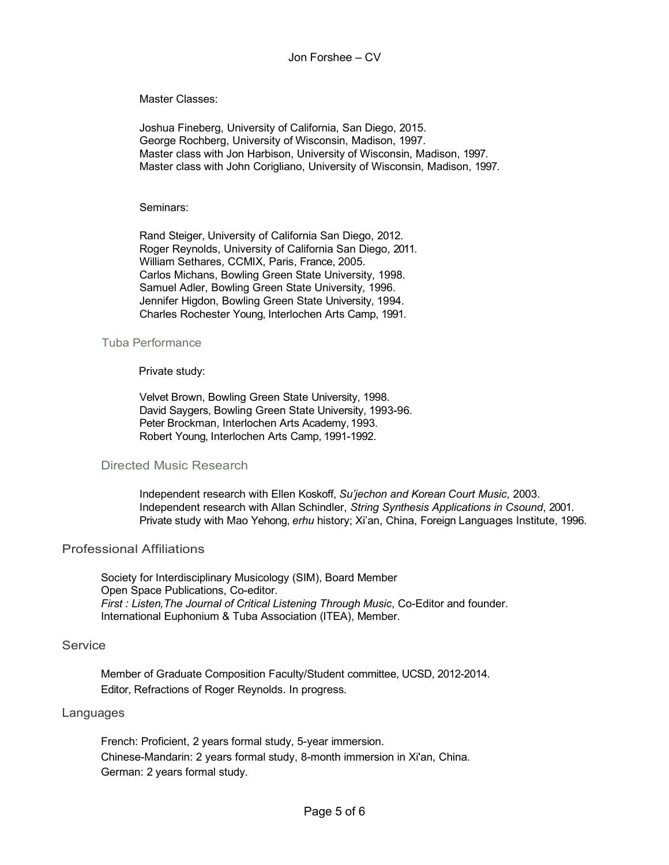Master Classes:

Joshua Fineberg, University of California, San Diego, 2015. George Rochberg, University of Wisconsin, Madison, 1997. Master class with Jon Harbison, University of Wisconsin, Madison, 1997. Master class with John Corigliano, University of Wisconsin, Madison, 1997.

Seminars:

Rand Steiger, University of California San Diego, 2012. Roger Reynolds, University of California San Diego, 2011. William Sethares, CCMIX, Paris, France, 2005. Carlos Michans, Bowling Green State University, 1998. Samuel Adler, Bowling Green State University, 1996. Jennifer Higdon, Bowling Green State University, 1994. Charles Rochester Young, Interlochen Arts Camp, 1991.

#### Tuba Performance

#### Private study:

Velvet Brown, Bowling Green State University, 1998. David Saygers, Bowling Green State University, 1993-96. Peter Brockman, Interlochen Arts Academy, 1993. Robert Young, Interlochen Arts Camp, 1991-1992.

### Directed Music Research

Independent research with Ellen Koskoff, *Su'jechon and Korean Court Music*, 2003. Independent research with Allan Schindler, *String Synthesis Applications in Csound*, 2001. Private study with Mao Yehong, *erhu* history; Xi'an, China, Foreign Languages Institute, 1996.

#### Professional Affiliations

Society for Interdisciplinary Musicology (SIM), Board Member Open Space Publications, Co-editor. *First : Listen,The Journal of Critical Listening Through Music*, Co-Editor and founder. International Euphonium & Tuba Association (ITEA), Member.

## **Service**

Member of Graduate Composition Faculty/Student committee, UCSD, 2012-2014. Editor, Refractions of Roger Reynolds. In progress.

#### Languages

French: Proficient, 2 years formal study, 5-year immersion. Chinese-Mandarin: 2 years formal study, 8-month immersion in Xi'an, China. German: 2 years formal study.